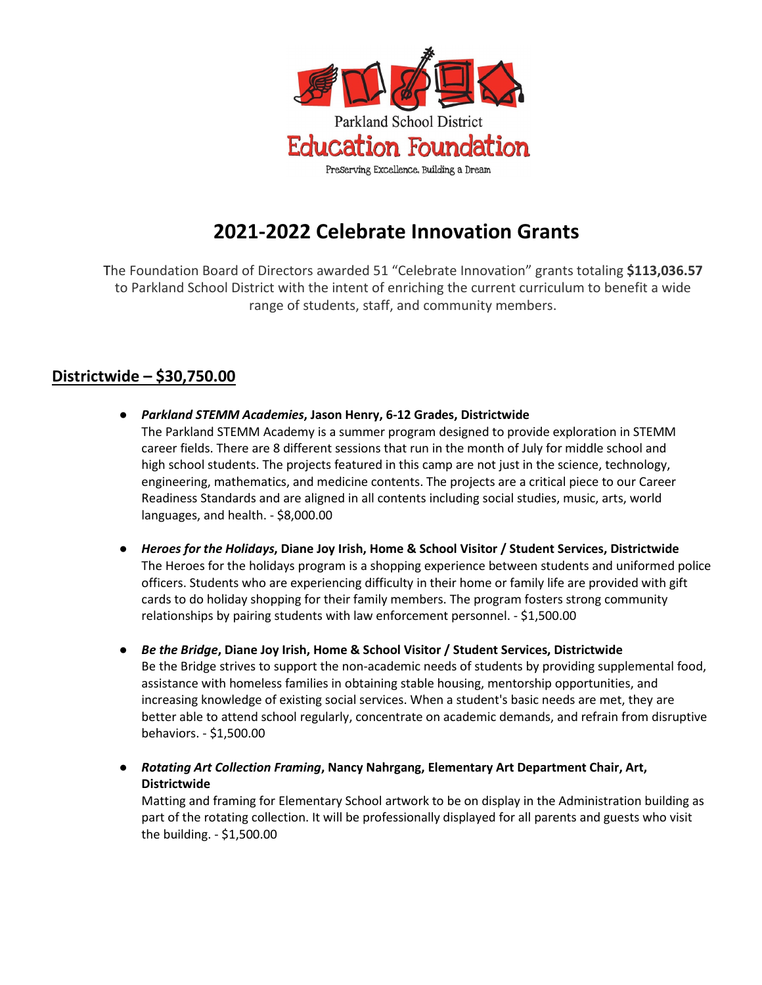

# **2021-2022 Celebrate Innovation Grants**

The Foundation Board of Directors awarded 51 "Celebrate Innovation" grants totaling **\$113,036.57**  to Parkland School District with the intent of enriching the current curriculum to benefit a wide range of students, staff, and community members.

# **Districtwide – \$30,750.00**

- *Parkland STEMM Academies***, Jason Henry, 6-12 Grades, Districtwide** The Parkland STEMM Academy is a summer program designed to provide exploration in STEMM career fields. There are 8 different sessions that run in the month of July for middle school and high school students. The projects featured in this camp are not just in the science, technology, engineering, mathematics, and medicine contents. The projects are a critical piece to our Career Readiness Standards and are aligned in all contents including social studies, music, arts, world languages, and health. - \$8,000.00
- **●** *Heroes for the Holidays***, Diane Joy Irish, Home & School Visitor / Student Services, Districtwide** The Heroes for the holidays program is a shopping experience between students and uniformed police officers. Students who are experiencing difficulty in their home or family life are provided with gift cards to do holiday shopping for their family members. The program fosters strong community relationships by pairing students with law enforcement personnel. - \$1,500.00
- *Be the Bridge***, Diane Joy Irish, Home & School Visitor / Student Services, Districtwide** Be the Bridge strives to support the non-academic needs of students by providing supplemental food, assistance with homeless families in obtaining stable housing, mentorship opportunities, and increasing knowledge of existing social services. When a student's basic needs are met, they are better able to attend school regularly, concentrate on academic demands, and refrain from disruptive behaviors. - \$1,500.00
- **●** *Rotating Art Collection Framing***, Nancy Nahrgang, Elementary Art Department Chair, Art, Districtwide**

Matting and framing for Elementary School artwork to be on display in the Administration building as part of the rotating collection. It will be professionally displayed for all parents and guests who visit the building. - \$1,500.00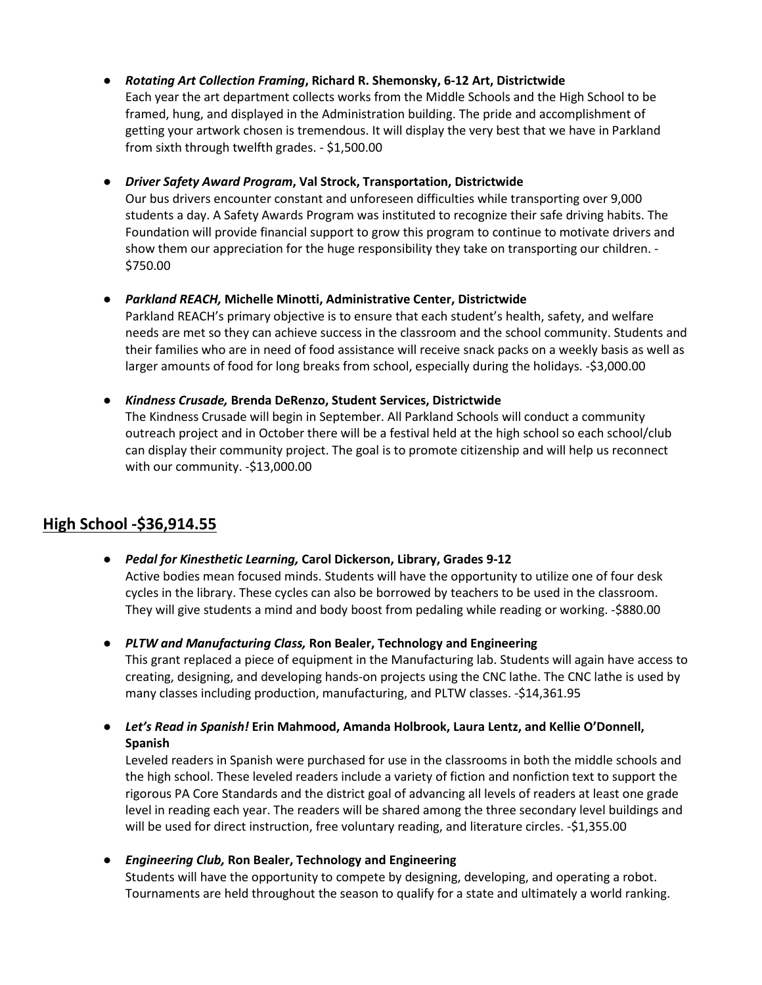**●** *Rotating Art Collection Framing***, Richard R. Shemonsky, 6-12 Art, Districtwide**

Each year the art department collects works from the Middle Schools and the High School to be framed, hung, and displayed in the Administration building. The pride and accomplishment of getting your artwork chosen is tremendous. It will display the very best that we have in Parkland from sixth through twelfth grades. - \$1,500.00

# **●** *Driver Safety Award Program***, Val Strock, Transportation, Districtwide**

Our bus drivers encounter constant and unforeseen difficulties while transporting over 9,000 students a day. A Safety Awards Program was instituted to recognize their safe driving habits. The Foundation will provide financial support to grow this program to continue to motivate drivers and show them our appreciation for the huge responsibility they take on transporting our children. - \$750.00

**●** *Parkland REACH,* **Michelle Minotti, Administrative Center, Districtwide**

Parkland REACH's primary objective is to ensure that each student's health, safety, and welfare needs are met so they can achieve success in the classroom and the school community. Students and their families who are in need of food assistance will receive snack packs on a weekly basis as well as larger amounts of food for long breaks from school, especially during the holidays. -\$3,000.00

# ● *Kindness Crusade,* **Brenda DeRenzo, Student Services, Districtwide**

The Kindness Crusade will begin in September. All Parkland Schools will conduct a community outreach project and in October there will be a festival held at the high school so each school/club can display their community project. The goal is to promote citizenship and will help us reconnect with our community. -\$13,000.00

# **High School -\$36,914.55**

**●** *Pedal for Kinesthetic Learning,* **Carol Dickerson, Library, Grades 9-12** Active bodies mean focused minds. Students will have the opportunity to utilize one of four desk

cycles in the library. These cycles can also be borrowed by teachers to be used in the classroom. They will give students a mind and body boost from pedaling while reading or working. -\$880.00

**●** *PLTW and Manufacturing Class,* **Ron Bealer, Technology and Engineering** 

This grant replaced a piece of equipment in the Manufacturing lab. Students will again have access to creating, designing, and developing hands-on projects using the CNC lathe. The CNC lathe is used by many classes including production, manufacturing, and PLTW classes. -\$14,361.95

**●** *Let's Read in Spanish!* **Erin Mahmood, Amanda Holbrook, Laura Lentz, and Kellie O'Donnell, Spanish**

Leveled readers in Spanish were purchased for use in the classrooms in both the middle schools and the high school. These leveled readers include a variety of fiction and nonfiction text to support the rigorous PA Core Standards and the district goal of advancing all levels of readers at least one grade level in reading each year. The readers will be shared among the three secondary level buildings and will be used for direct instruction, free voluntary reading, and literature circles. -\$1,355.00

**●** *Engineering Club,* **Ron Bealer, Technology and Engineering** Students will have the opportunity to compete by designing, developing, and operating a robot. Tournaments are held throughout the season to qualify for a state and ultimately a world ranking.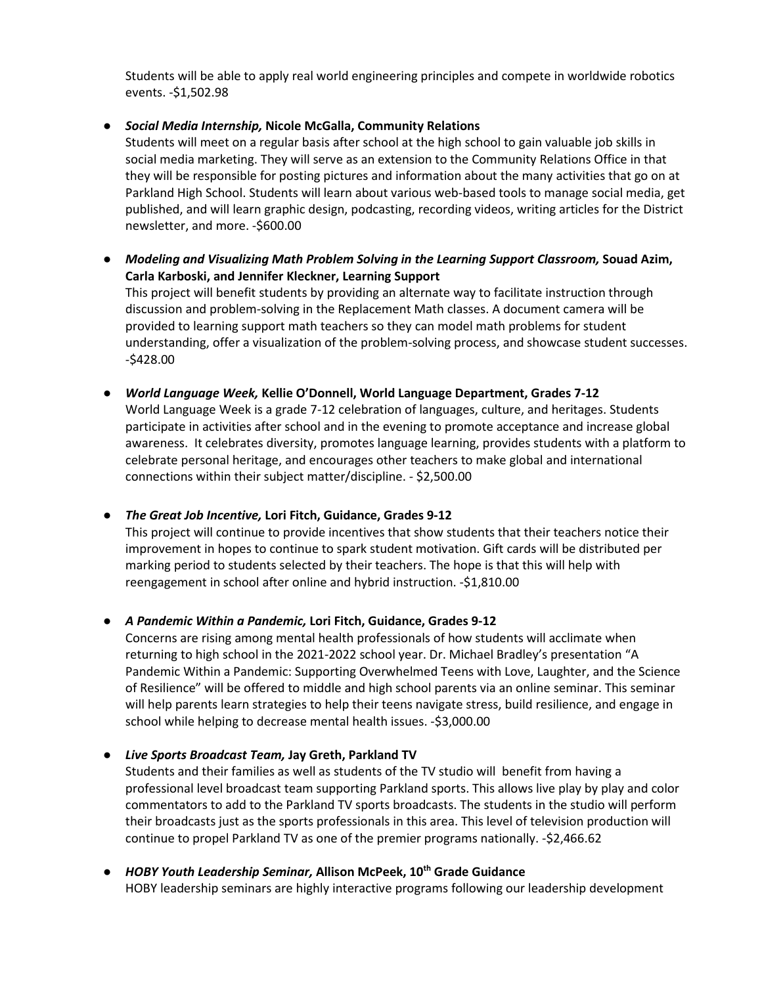Students will be able to apply real world engineering principles and compete in worldwide robotics events. -\$1,502.98

#### **●** *Social Media Internship,* **Nicole McGalla, Community Relations**

Students will meet on a regular basis after school at the high school to gain valuable job skills in social media marketing. They will serve as an extension to the Community Relations Office in that they will be responsible for posting pictures and information about the many activities that go on at Parkland High School. Students will learn about various web-based tools to manage social media, get published, and will learn graphic design, podcasting, recording videos, writing articles for the District newsletter, and more. -\$600.00

**●** *Modeling and Visualizing Math Problem Solving in the Learning Support Classroom,* **Souad Azim, Carla Karboski, and Jennifer Kleckner, Learning Support**

This project will benefit students by providing an alternate way to facilitate instruction through discussion and problem-solving in the Replacement Math classes. A document camera will be provided to learning support math teachers so they can model math problems for student understanding, offer a visualization of the problem-solving process, and showcase student successes. -\$428.00

**●** *World Language Week,* **Kellie O'Donnell, World Language Department, Grades 7-12** World Language Week is a grade 7-12 celebration of languages, culture, and heritages. Students participate in activities after school and in the evening to promote acceptance and increase global awareness. It celebrates diversity, promotes language learning, provides students with a platform to celebrate personal heritage, and encourages other teachers to make global and international connections within their subject matter/discipline. - \$2,500.00

#### **●** *The Great Job Incentive,* **Lori Fitch, Guidance, Grades 9-12**

This project will continue to provide incentives that show students that their teachers notice their improvement in hopes to continue to spark student motivation. Gift cards will be distributed per marking period to students selected by their teachers. The hope is that this will help with reengagement in school after online and hybrid instruction. -\$1,810.00

**●** *A Pandemic Within a Pandemic,* **Lori Fitch, Guidance, Grades 9-12**

Concerns are rising among mental health professionals of how students will acclimate when returning to high school in the 2021-2022 school year. Dr. Michael Bradley's presentation "A Pandemic Within a Pandemic: Supporting Overwhelmed Teens with Love, Laughter, and the Science of Resilience" will be offered to middle and high school parents via an online seminar. This seminar will help parents learn strategies to help their teens navigate stress, build resilience, and engage in school while helping to decrease mental health issues. -\$3,000.00

**●** *Live Sports Broadcast Team,* **Jay Greth, Parkland TV**

Students and their families as well as students of the TV studio will benefit from having a professional level broadcast team supporting Parkland sports. This allows live play by play and color commentators to add to the Parkland TV sports broadcasts. The students in the studio will perform their broadcasts just as the sports professionals in this area. This level of television production will continue to propel Parkland TV as one of the premier programs nationally. -\$2,466.62

**●** *HOBY Youth Leadership Seminar,* **Allison McPeek, 10th Grade Guidance** HOBY leadership seminars are highly interactive programs following our leadership development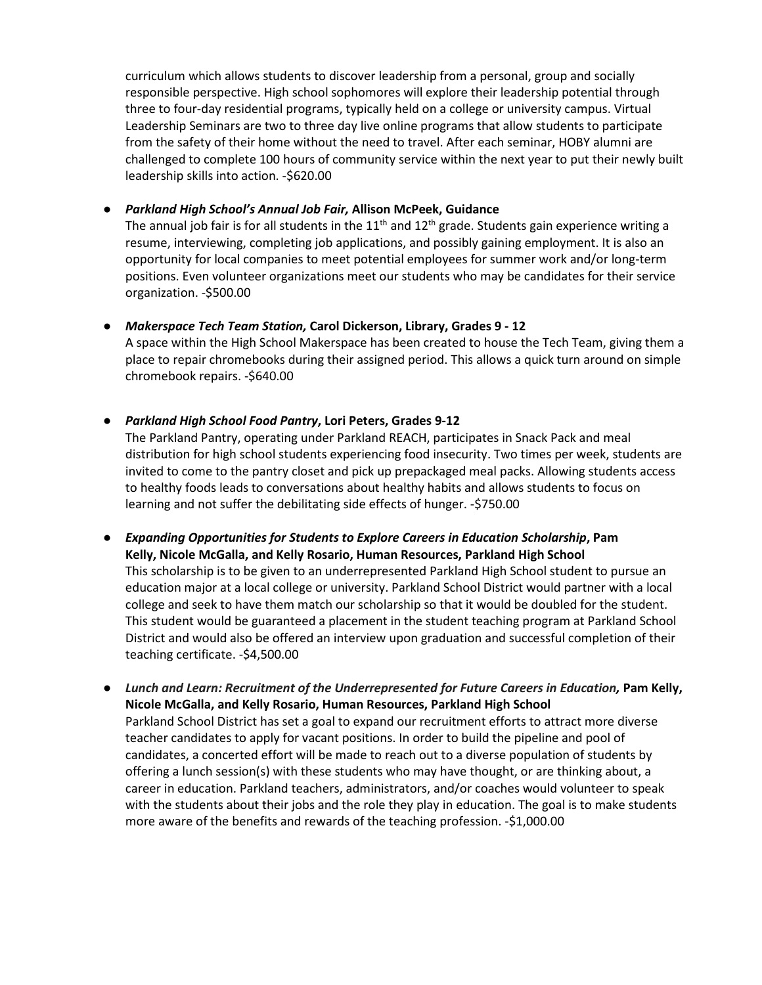curriculum which allows students to discover leadership from a personal, group and socially responsible perspective. High school sophomores will explore their leadership potential through three to four-day residential programs, typically held on a college or university campus. Virtual Leadership Seminars are two to three day live online programs that allow students to participate from the safety of their home without the need to travel. After each seminar, HOBY alumni are challenged to complete 100 hours of community service within the next year to put their newly built leadership skills into action. -\$620.00

#### **●** *Parkland High School's Annual Job Fair,* **Allison McPeek, Guidance**

The annual job fair is for all students in the  $11<sup>th</sup>$  and  $12<sup>th</sup>$  grade. Students gain experience writing a resume, interviewing, completing job applications, and possibly gaining employment. It is also an opportunity for local companies to meet potential employees for summer work and/or long-term positions. Even volunteer organizations meet our students who may be candidates for their service organization. -\$500.00

### **●** *Makerspace Tech Team Station,* **Carol Dickerson, Library, Grades 9 - 12**

A space within the High School Makerspace has been created to house the Tech Team, giving them a place to repair chromebooks during their assigned period. This allows a quick turn around on simple chromebook repairs. -\$640.00

### **●** *Parkland High School Food Pantry***, Lori Peters, Grades 9-12**

The Parkland Pantry, operating under Parkland REACH, participates in Snack Pack and meal distribution for high school students experiencing food insecurity. Two times per week, students are invited to come to the pantry closet and pick up prepackaged meal packs. Allowing students access to healthy foods leads to conversations about healthy habits and allows students to focus on learning and not suffer the debilitating side effects of hunger. -\$750.00

- **●** *Expanding Opportunities for Students to Explore Careers in Education Scholarship***, Pam Kelly, Nicole McGalla, and Kelly Rosario, Human Resources, Parkland High School** This scholarship is to be given to an underrepresented Parkland High School student to pursue an education major at a local college or university. Parkland School District would partner with a local college and seek to have them match our scholarship so that it would be doubled for the student. This student would be guaranteed a placement in the student teaching program at Parkland School District and would also be offered an interview upon graduation and successful completion of their teaching certificate. -\$4,500.00
- **•** Lunch and Learn: Recruitment of the Underrepresented for Future Careers in Education, Pam Kelly, **Nicole McGalla, and Kelly Rosario, Human Resources, Parkland High School** Parkland School District has set a goal to expand our recruitment efforts to attract more diverse teacher candidates to apply for vacant positions. In order to build the pipeline and pool of candidates, a concerted effort will be made to reach out to a diverse population of students by offering a lunch session(s) with these students who may have thought, or are thinking about, a career in education. Parkland teachers, administrators, and/or coaches would volunteer to speak with the students about their jobs and the role they play in education. The goal is to make students more aware of the benefits and rewards of the teaching profession. -\$1,000.00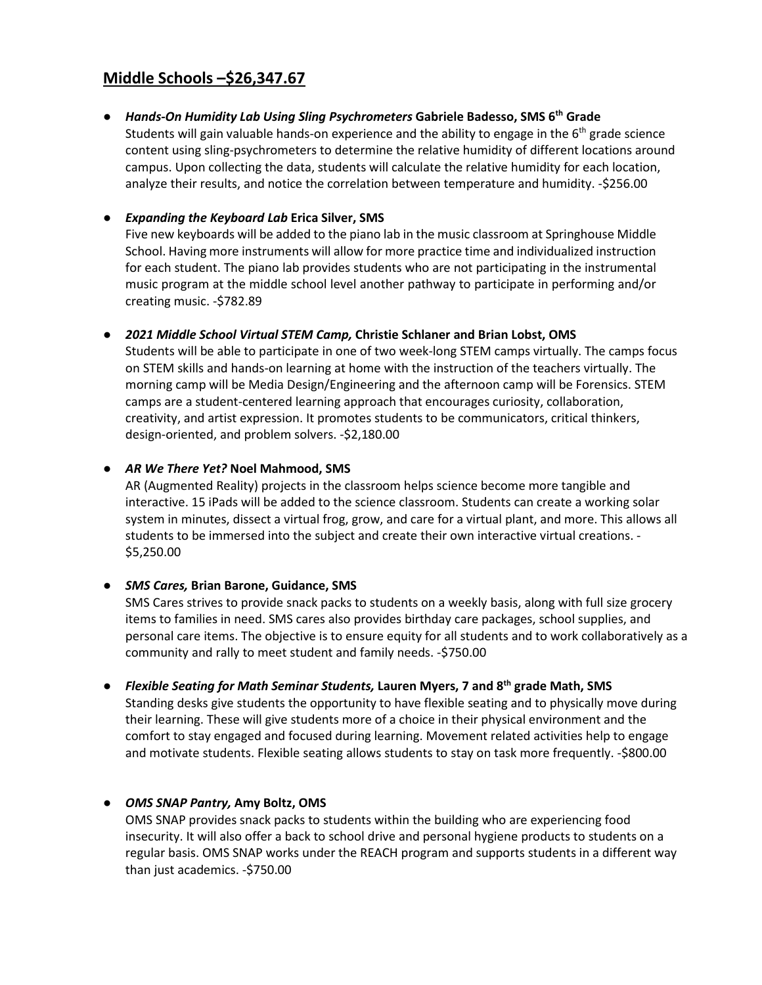# **Middle Schools –\$26,347.67**

**●** *Hands-On Humidity Lab Using Sling Psychrometers* **Gabriele Badesso, SMS 6th Grade**

Students will gain valuable hands-on experience and the ability to engage in the 6<sup>th</sup> grade science content using sling-psychrometers to determine the relative humidity of different locations around campus. Upon collecting the data, students will calculate the relative humidity for each location, analyze their results, and notice the correlation between temperature and humidity. -\$256.00

## **●** *Expanding the Keyboard Lab* **Erica Silver, SMS**

Five new keyboards will be added to the piano lab in the music classroom at Springhouse Middle School. Having more instruments will allow for more practice time and individualized instruction for each student. The piano lab provides students who are not participating in the instrumental music program at the middle school level another pathway to participate in performing and/or creating music. -\$782.89

#### **●** *2021 Middle School Virtual STEM Camp,* **Christie Schlaner and Brian Lobst, OMS**

Students will be able to participate in one of two week-long STEM camps virtually. The camps focus on STEM skills and hands-on learning at home with the instruction of the teachers virtually. The morning camp will be Media Design/Engineering and the afternoon camp will be Forensics. STEM camps are a student-centered learning approach that encourages curiosity, collaboration, creativity, and artist expression. It promotes students to be communicators, critical thinkers, design-oriented, and problem solvers. -\$2,180.00

#### **●** *AR We There Yet?* **Noel Mahmood, SMS**

AR (Augmented Reality) projects in the classroom helps science become more tangible and interactive. 15 iPads will be added to the science classroom. Students can create a working solar system in minutes, dissect a virtual frog, grow, and care for a virtual plant, and more. This allows all students to be immersed into the subject and create their own interactive virtual creations. - \$5,250.00

#### **●** *SMS Cares,* **Brian Barone, Guidance, SMS**

SMS Cares strives to provide snack packs to students on a weekly basis, along with full size grocery items to families in need. SMS cares also provides birthday care packages, school supplies, and personal care items. The objective is to ensure equity for all students and to work collaboratively as a community and rally to meet student and family needs. -\$750.00

#### **●** *Flexible Seating for Math Seminar Students,* **Lauren Myers, 7 and 8th grade Math, SMS**

Standing desks give students the opportunity to have flexible seating and to physically move during their learning. These will give students more of a choice in their physical environment and the comfort to stay engaged and focused during learning. Movement related activities help to engage and motivate students. Flexible seating allows students to stay on task more frequently. -\$800.00

#### **●** *OMS SNAP Pantry,* **Amy Boltz, OMS**

OMS SNAP provides snack packs to students within the building who are experiencing food insecurity. It will also offer a back to school drive and personal hygiene products to students on a regular basis. OMS SNAP works under the REACH program and supports students in a different way than just academics. -\$750.00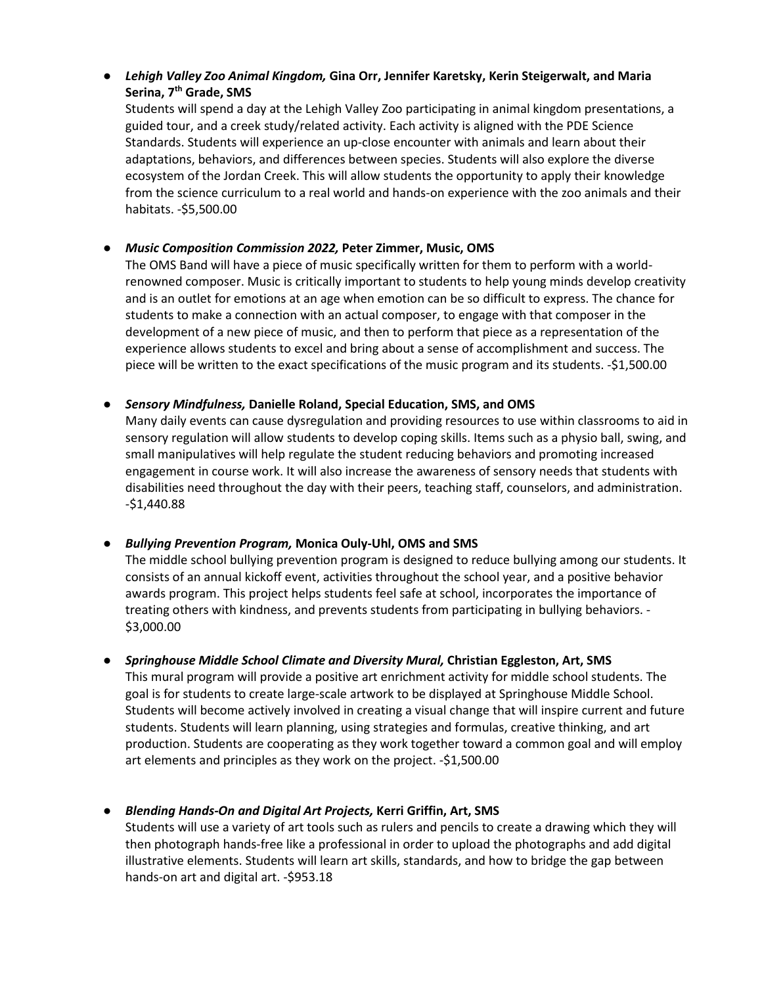# **●** *Lehigh Valley Zoo Animal Kingdom,* **Gina Orr, Jennifer Karetsky, Kerin Steigerwalt, and Maria Serina, 7th Grade, SMS**

Students will spend a day at the Lehigh Valley Zoo participating in animal kingdom presentations, a guided tour, and a creek study/related activity. Each activity is aligned with the PDE Science Standards. Students will experience an up-close encounter with animals and learn about their adaptations, behaviors, and differences between species. Students will also explore the diverse ecosystem of the Jordan Creek. This will allow students the opportunity to apply their knowledge from the science curriculum to a real world and hands-on experience with the zoo animals and their habitats. -\$5,500.00

## **●** *Music Composition Commission 2022,* **Peter Zimmer, Music, OMS**

The OMS Band will have a piece of music specifically written for them to perform with a worldrenowned composer. Music is critically important to students to help young minds develop creativity and is an outlet for emotions at an age when emotion can be so difficult to express. The chance for students to make a connection with an actual composer, to engage with that composer in the development of a new piece of music, and then to perform that piece as a representation of the experience allows students to excel and bring about a sense of accomplishment and success. The piece will be written to the exact specifications of the music program and its students. -\$1,500.00

### **●** *Sensory Mindfulness,* **Danielle Roland, Special Education, SMS, and OMS**

Many daily events can cause dysregulation and providing resources to use within classrooms to aid in sensory regulation will allow students to develop coping skills. Items such as a physio ball, swing, and small manipulatives will help regulate the student reducing behaviors and promoting increased engagement in course work. It will also increase the awareness of sensory needs that students with disabilities need throughout the day with their peers, teaching staff, counselors, and administration. -\$1,440.88

# **●** *Bullying Prevention Program,* **Monica Ouly-Uhl, OMS and SMS**

The middle school bullying prevention program is designed to reduce bullying among our students. It consists of an annual kickoff event, activities throughout the school year, and a positive behavior awards program. This project helps students feel safe at school, incorporates the importance of treating others with kindness, and prevents students from participating in bullying behaviors. - \$3,000.00

# **●** *Springhouse Middle School Climate and Diversity Mural,* **Christian Eggleston, Art, SMS**

This mural program will provide a positive art enrichment activity for middle school students. The goal is for students to create large-scale artwork to be displayed at Springhouse Middle School. Students will become actively involved in creating a visual change that will inspire current and future students. Students will learn planning, using strategies and formulas, creative thinking, and art production. Students are cooperating as they work together toward a common goal and will employ art elements and principles as they work on the project. -\$1,500.00

# **●** *Blending Hands-On and Digital Art Projects,* **Kerri Griffin, Art, SMS**

Students will use a variety of art tools such as rulers and pencils to create a drawing which they will then photograph hands-free like a professional in order to upload the photographs and add digital illustrative elements. Students will learn art skills, standards, and how to bridge the gap between hands-on art and digital art. -\$953.18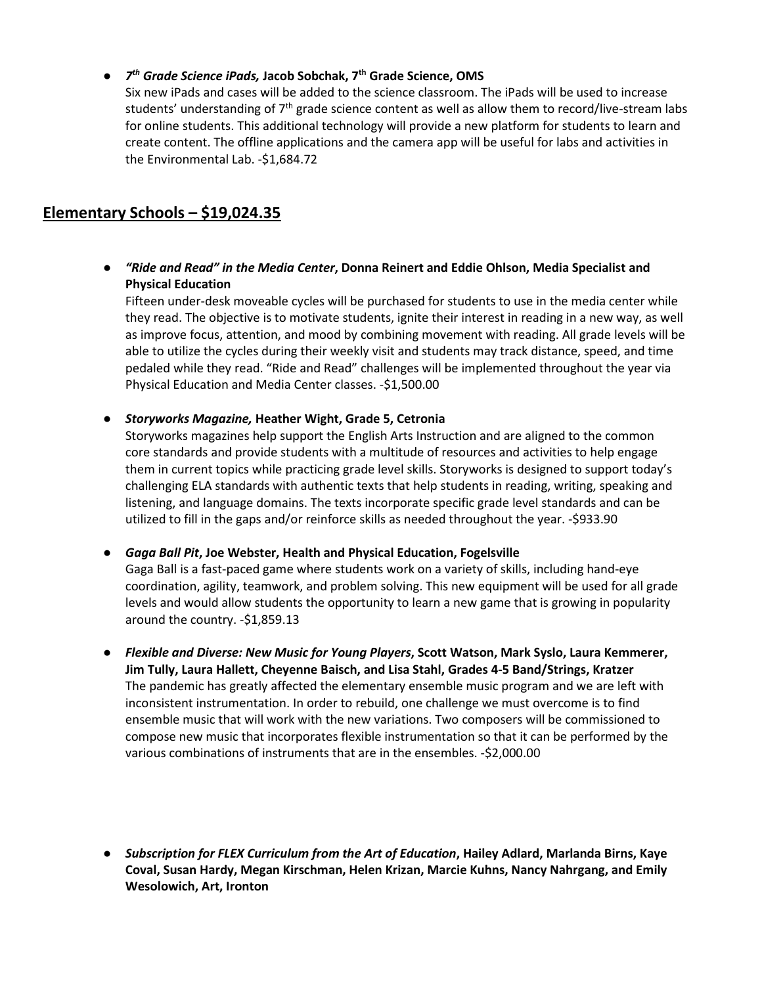# **●** *7th Grade Science iPads,* **Jacob Sobchak, 7th Grade Science, OMS**

Six new iPads and cases will be added to the science classroom. The iPads will be used to increase students' understanding of  $7<sup>th</sup>$  grade science content as well as allow them to record/live-stream labs for online students. This additional technology will provide a new platform for students to learn and create content. The offline applications and the camera app will be useful for labs and activities in the Environmental Lab. -\$1,684.72

# **Elementary Schools – \$19,024.35**

**●** *"Ride and Read" in the Media Center***, Donna Reinert and Eddie Ohlson, Media Specialist and Physical Education**

Fifteen under-desk moveable cycles will be purchased for students to use in the media center while they read. The objective is to motivate students, ignite their interest in reading in a new way, as well as improve focus, attention, and mood by combining movement with reading. All grade levels will be able to utilize the cycles during their weekly visit and students may track distance, speed, and time pedaled while they read. "Ride and Read" challenges will be implemented throughout the year via Physical Education and Media Center classes. -\$1,500.00

**●** *Storyworks Magazine,* **Heather Wight, Grade 5, Cetronia**

Storyworks magazines help support the English Arts Instruction and are aligned to the common core standards and provide students with a multitude of resources and activities to help engage them in current topics while practicing grade level skills. Storyworks is designed to support today's challenging ELA standards with authentic texts that help students in reading, writing, speaking and listening, and language domains. The texts incorporate specific grade level standards and can be utilized to fill in the gaps and/or reinforce skills as needed throughout the year. -\$933.90

**●** *Gaga Ball Pit***, Joe Webster, Health and Physical Education, Fogelsville**

Gaga Ball is a fast-paced game where students work on a variety of skills, including hand-eye coordination, agility, teamwork, and problem solving. This new equipment will be used for all grade levels and would allow students the opportunity to learn a new game that is growing in popularity around the country. -\$1,859.13

- **●** *Flexible and Diverse: New Music for Young Players***, Scott Watson, Mark Syslo, Laura Kemmerer, Jim Tully, Laura Hallett, Cheyenne Baisch, and Lisa Stahl, Grades 4-5 Band/Strings, Kratzer** The pandemic has greatly affected the elementary ensemble music program and we are left with inconsistent instrumentation. In order to rebuild, one challenge we must overcome is to find ensemble music that will work with the new variations. Two composers will be commissioned to compose new music that incorporates flexible instrumentation so that it can be performed by the various combinations of instruments that are in the ensembles. -\$2,000.00
- **●** *Subscription for FLEX Curriculum from the Art of Education***, Hailey Adlard, Marlanda Birns, Kaye Coval, Susan Hardy, Megan Kirschman, Helen Krizan, Marcie Kuhns, Nancy Nahrgang, and Emily Wesolowich, Art, Ironton**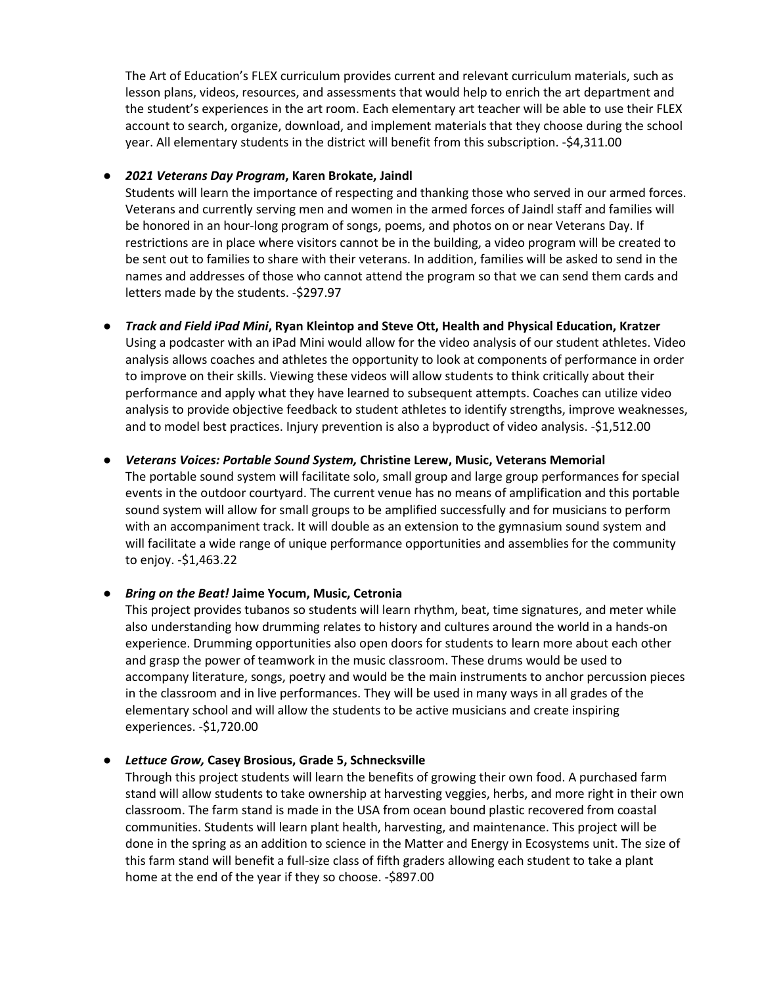The Art of Education's FLEX curriculum provides current and relevant curriculum materials, such as lesson plans, videos, resources, and assessments that would help to enrich the art department and the student's experiences in the art room. Each elementary art teacher will be able to use their FLEX account to search, organize, download, and implement materials that they choose during the school year. All elementary students in the district will benefit from this subscription. -\$4,311.00

#### **●** *2021 Veterans Day Program***, Karen Brokate, Jaindl**

Students will learn the importance of respecting and thanking those who served in our armed forces. Veterans and currently serving men and women in the armed forces of Jaindl staff and families will be honored in an hour-long program of songs, poems, and photos on or near Veterans Day. If restrictions are in place where visitors cannot be in the building, a video program will be created to be sent out to families to share with their veterans. In addition, families will be asked to send in the names and addresses of those who cannot attend the program so that we can send them cards and letters made by the students. -\$297.97

#### **●** *Track and Field iPad Mini***, Ryan Kleintop and Steve Ott, Health and Physical Education, Kratzer**

Using a podcaster with an iPad Mini would allow for the video analysis of our student athletes. Video analysis allows coaches and athletes the opportunity to look at components of performance in order to improve on their skills. Viewing these videos will allow students to think critically about their performance and apply what they have learned to subsequent attempts. Coaches can utilize video analysis to provide objective feedback to student athletes to identify strengths, improve weaknesses, and to model best practices. Injury prevention is also a byproduct of video analysis. -\$1,512.00

#### **●** *Veterans Voices: Portable Sound System,* **Christine Lerew, Music, Veterans Memorial**

The portable sound system will facilitate solo, small group and large group performances for special events in the outdoor courtyard. The current venue has no means of amplification and this portable sound system will allow for small groups to be amplified successfully and for musicians to perform with an accompaniment track. It will double as an extension to the gymnasium sound system and will facilitate a wide range of unique performance opportunities and assemblies for the community to enjoy. -\$1,463.22

#### **●** *Bring on the Beat!* **Jaime Yocum, Music, Cetronia**

This project provides tubanos so students will learn rhythm, beat, time signatures, and meter while also understanding how drumming relates to history and cultures around the world in a hands-on experience. Drumming opportunities also open doors for students to learn more about each other and grasp the power of teamwork in the music classroom. These drums would be used to accompany literature, songs, poetry and would be the main instruments to anchor percussion pieces in the classroom and in live performances. They will be used in many ways in all grades of the elementary school and will allow the students to be active musicians and create inspiring experiences. -\$1,720.00

#### **●** *Lettuce Grow,* **Casey Brosious, Grade 5, Schnecksville**

Through this project students will learn the benefits of growing their own food. A purchased farm stand will allow students to take ownership at harvesting veggies, herbs, and more right in their own classroom. The farm stand is made in the USA from ocean bound plastic recovered from coastal communities. Students will learn plant health, harvesting, and maintenance. This project will be done in the spring as an addition to science in the Matter and Energy in Ecosystems unit. The size of this farm stand will benefit a full-size class of fifth graders allowing each student to take a plant home at the end of the year if they so choose. -\$897.00